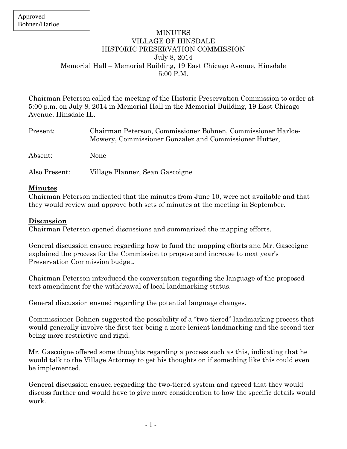## **MINUTES** VILLAGE OF HINSDALE HISTORIC PRESERVATION COMMISSION July 8, 2014 Memorial Hall – Memorial Building, 19 East Chicago Avenue, Hinsdale 5:00 P.M.

Chairman Peterson called the meeting of the Historic Preservation Commission to order at 5:00 p.m. on July 8, 2014 in Memorial Hall in the Memorial Building, 19 East Chicago Avenue, Hinsdale IL.

| Present:      | Chairman Peterson, Commissioner Bohnen, Commissioner Harloe-<br>Mowery, Commissioner Gonzalez and Commissioner Hutter, |
|---------------|------------------------------------------------------------------------------------------------------------------------|
| Absent:       | None                                                                                                                   |
| Also Present: | Village Planner, Sean Gascoigne                                                                                        |

## **Minutes**

Chairman Peterson indicated that the minutes from June 10, were not available and that they would review and approve both sets of minutes at the meeting in September.

## **Discussion**

Chairman Peterson opened discussions and summarized the mapping efforts.

General discussion ensued regarding how to fund the mapping efforts and Mr. Gascoigne explained the process for the Commission to propose and increase to next year's Preservation Commission budget.

Chairman Peterson introduced the conversation regarding the language of the proposed text amendment for the withdrawal of local landmarking status.

General discussion ensued regarding the potential language changes.

Commissioner Bohnen suggested the possibility of a "two-tiered" landmarking process that would generally involve the first tier being a more lenient landmarking and the second tier being more restrictive and rigid.

Mr. Gascoigne offered some thoughts regarding a process such as this, indicating that he would talk to the Village Attorney to get his thoughts on if something like this could even be implemented.

General discussion ensued regarding the two-tiered system and agreed that they would discuss further and would have to give more consideration to how the specific details would work.